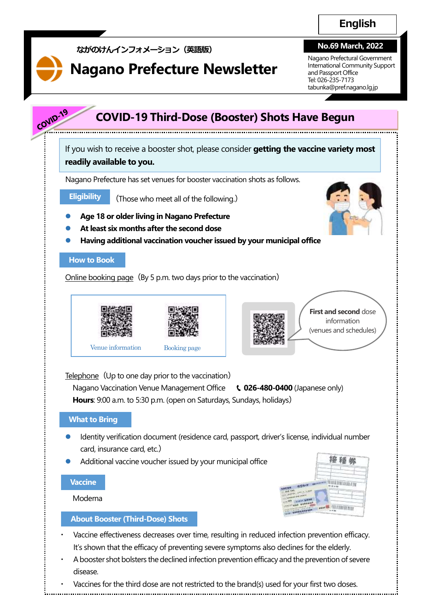#### **No.69 March, 2022**

International Community Support Nagano Prefectural Government and Passport Office Tel: 026-235-7173 tabunka@pref.nagano.lg.jp

# COVID-19 **COVID-19 Third-Dose (Booster) Shots Have Begun** If you wish to receive a booster shot, please consider **getting the vaccine variety most readily available to you.** Nagano Prefecture has set venues for booster vaccination shots as follows. **Eligibility** (Those who meet all of the following.) **Age 18 or older living in Nagano Prefecture At least six months after the second dose Having additional vaccination voucher issued by your municipal office How to Book** Online booking page (By 5 p.m. two days prior to the vaccination) **First and second** dose information (venues and schedules) Venue information Booking page Telephone (Up to one day prior to the vaccination) Nagano Vaccination Venue Management Office **t. 026-480-0400** (Japanese only) **Hours**: 9:00 a.m. to 5:30 p.m. (open on Saturdays, Sundays, holidays) **What to Bring** Identity verification document (residence card, passport, driver's license, individual number card, insurance card, etc.) 接種勢 Additional vaccine voucher issued by your municipal office **Vaccine ПАНТИВЕДИЛИ**  Moderna **TIO THEFT NOW About Booster (Third-Dose) Shots** Vaccine effectiveness decreases over time, resulting in reduced infection prevention efficacy. It's shown that the efficacy of preventing severe symptoms also declines for the elderly.

**Nagano Prefecture Newsletter**

**ながのけんインフォメーション(英語版)**

- A booster shot bolsters the declined infection prevention efficacy and the prevention of severe disease.
- Vaccines for the third dose are not restricted to the brand(s) used for your first two doses.